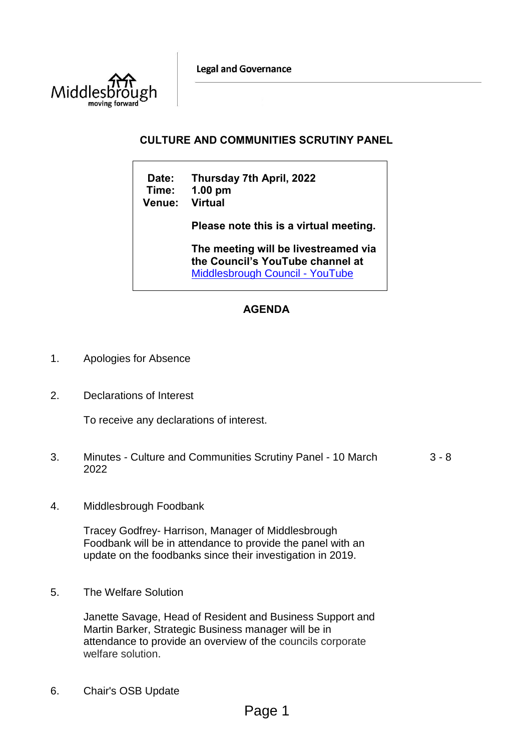**Legal and Governance** 



## **CULTURE AND COMMUNITIES SCRUTINY PANEL**

| Date:<br>Time:<br><b>Venue:</b> | Thursday 7th April, 2022<br>$1.00$ pm<br><b>Virtual</b>                                                            |  |  |  |  |
|---------------------------------|--------------------------------------------------------------------------------------------------------------------|--|--|--|--|
|                                 | Please note this is a virtual meeting.                                                                             |  |  |  |  |
|                                 | The meeting will be livestreamed via<br>the Council's YouTube channel at<br><b>Middlesbrough Council - YouTube</b> |  |  |  |  |

# **AGENDA**

- 1. Apologies for Absence
- 2. Declarations of Interest

To receive any declarations of interest.

- 3. Minutes Culture and Communities Scrutiny Panel 10 March 2022 3 - 8
- 4. Middlesbrough Foodbank

Tracey Godfrey- Harrison, Manager of Middlesbrough Foodbank will be in attendance to provide the panel with an update on the foodbanks since their investigation in 2019.

5. The Welfare Solution

Janette Savage, Head of Resident and Business Support and Martin Barker, Strategic Business manager will be in attendance to provide an overview of the councils corporate welfare solution.

6. Chair's OSB Update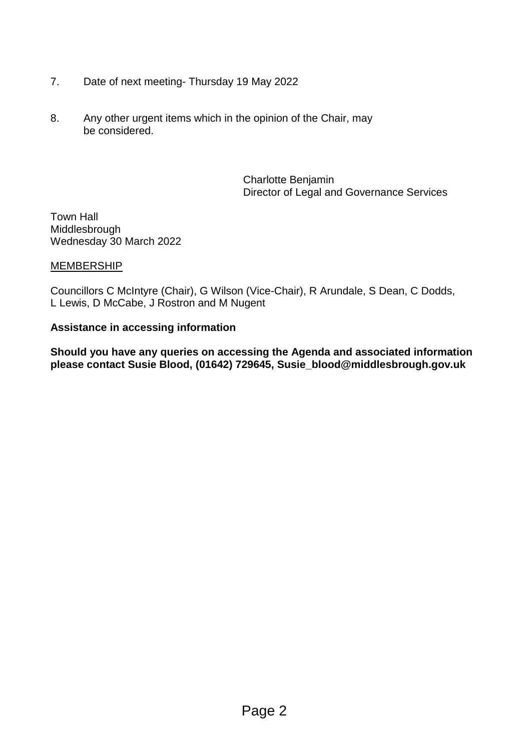- 7. Date of next meeting- Thursday 19 May 2022
- 8. Any other urgent items which in the opinion of the Chair, may be considered.

Charlotte Benjamin Director of Legal and Governance Services

Town Hall Middlesbrough Wednesday 30 March 2022

## **MEMBERSHIP**

Councillors C McIntyre (Chair), G Wilson (Vice-Chair), R Arundale, S Dean, C Dodds, L Lewis, D McCabe, J Rostron and M Nugent

## **Assistance in accessing information**

**Should you have any queries on accessing the Agenda and associated information please contact Susie Blood, (01642) 729645, Susie\_blood@middlesbrough.gov.uk**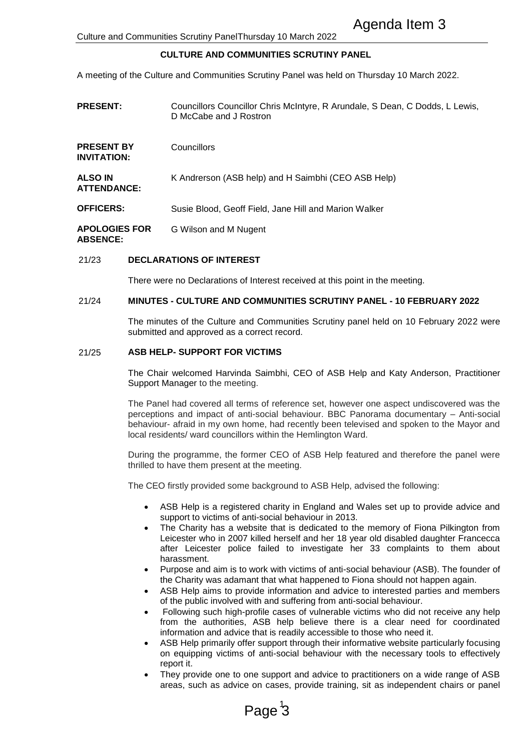### **CULTURE AND COMMUNITIES SCRUTINY PANEL**

|                                         |                                                                                                                                                                                                                                                                                                                                       | Agenda Item 3<br>Culture and Communities Scrutiny PanelThursday 10 March 2022                                                                                                                                                                                                                                                                                                                                                                                                                                                                                                                                                                                                                                                                                                                                                                    |  |  |  |  |
|-----------------------------------------|---------------------------------------------------------------------------------------------------------------------------------------------------------------------------------------------------------------------------------------------------------------------------------------------------------------------------------------|--------------------------------------------------------------------------------------------------------------------------------------------------------------------------------------------------------------------------------------------------------------------------------------------------------------------------------------------------------------------------------------------------------------------------------------------------------------------------------------------------------------------------------------------------------------------------------------------------------------------------------------------------------------------------------------------------------------------------------------------------------------------------------------------------------------------------------------------------|--|--|--|--|
|                                         |                                                                                                                                                                                                                                                                                                                                       | <b>CULTURE AND COMMUNITIES SCRUTINY PANEL</b>                                                                                                                                                                                                                                                                                                                                                                                                                                                                                                                                                                                                                                                                                                                                                                                                    |  |  |  |  |
|                                         |                                                                                                                                                                                                                                                                                                                                       | A meeting of the Culture and Communities Scrutiny Panel was held on Thursday 10 March 2022.                                                                                                                                                                                                                                                                                                                                                                                                                                                                                                                                                                                                                                                                                                                                                      |  |  |  |  |
| <b>PRESENT:</b>                         |                                                                                                                                                                                                                                                                                                                                       | Councillors Councillor Chris McIntyre, R Arundale, S Dean, C Dodds, L Lewis,<br>D McCabe and J Rostron                                                                                                                                                                                                                                                                                                                                                                                                                                                                                                                                                                                                                                                                                                                                           |  |  |  |  |
| <b>PRESENT BY</b><br><b>INVITATION:</b> |                                                                                                                                                                                                                                                                                                                                       | Councillors                                                                                                                                                                                                                                                                                                                                                                                                                                                                                                                                                                                                                                                                                                                                                                                                                                      |  |  |  |  |
| <b>ALSO IN</b><br><b>ATTENDANCE:</b>    |                                                                                                                                                                                                                                                                                                                                       | K Andrerson (ASB help) and H Saimbhi (CEO ASB Help)                                                                                                                                                                                                                                                                                                                                                                                                                                                                                                                                                                                                                                                                                                                                                                                              |  |  |  |  |
| <b>OFFICERS:</b>                        |                                                                                                                                                                                                                                                                                                                                       | Susie Blood, Geoff Field, Jane Hill and Marion Walker                                                                                                                                                                                                                                                                                                                                                                                                                                                                                                                                                                                                                                                                                                                                                                                            |  |  |  |  |
| <b>APOLOGIES FOR</b><br><b>ABSENCE:</b> |                                                                                                                                                                                                                                                                                                                                       | G Wilson and M Nugent                                                                                                                                                                                                                                                                                                                                                                                                                                                                                                                                                                                                                                                                                                                                                                                                                            |  |  |  |  |
| 21/23                                   |                                                                                                                                                                                                                                                                                                                                       | <b>DECLARATIONS OF INTEREST</b>                                                                                                                                                                                                                                                                                                                                                                                                                                                                                                                                                                                                                                                                                                                                                                                                                  |  |  |  |  |
|                                         | There were no Declarations of Interest received at this point in the meeting.                                                                                                                                                                                                                                                         |                                                                                                                                                                                                                                                                                                                                                                                                                                                                                                                                                                                                                                                                                                                                                                                                                                                  |  |  |  |  |
| 21/24                                   |                                                                                                                                                                                                                                                                                                                                       | <b>MINUTES - CULTURE AND COMMUNITIES SCRUTINY PANEL - 10 FEBRUARY 2022</b>                                                                                                                                                                                                                                                                                                                                                                                                                                                                                                                                                                                                                                                                                                                                                                       |  |  |  |  |
|                                         | The minutes of the Culture and Communities Scrutiny panel held on 10 February 2022 v<br>submitted and approved as a correct record.                                                                                                                                                                                                   |                                                                                                                                                                                                                                                                                                                                                                                                                                                                                                                                                                                                                                                                                                                                                                                                                                                  |  |  |  |  |
| 21/25                                   | ASB HELP- SUPPORT FOR VICTIMS                                                                                                                                                                                                                                                                                                         |                                                                                                                                                                                                                                                                                                                                                                                                                                                                                                                                                                                                                                                                                                                                                                                                                                                  |  |  |  |  |
|                                         | The Chair welcomed Harvinda Saimbhi, CEO of ASB Help and Katy Anderson, Practiti<br>Support Manager to the meeting.                                                                                                                                                                                                                   |                                                                                                                                                                                                                                                                                                                                                                                                                                                                                                                                                                                                                                                                                                                                                                                                                                                  |  |  |  |  |
|                                         | The Panel had covered all terms of reference set, however one aspect undiscovered was<br>perceptions and impact of anti-social behaviour. BBC Panorama documentary - Anti-s<br>behaviour- afraid in my own home, had recently been televised and spoken to the Mayor<br>local residents/ ward councillors within the Hemlington Ward. |                                                                                                                                                                                                                                                                                                                                                                                                                                                                                                                                                                                                                                                                                                                                                                                                                                                  |  |  |  |  |
|                                         |                                                                                                                                                                                                                                                                                                                                       | During the programme, the former CEO of ASB Help featured and therefore the panel v<br>thrilled to have them present at the meeting.                                                                                                                                                                                                                                                                                                                                                                                                                                                                                                                                                                                                                                                                                                             |  |  |  |  |
|                                         |                                                                                                                                                                                                                                                                                                                                       | The CEO firstly provided some background to ASB Help, advised the following:                                                                                                                                                                                                                                                                                                                                                                                                                                                                                                                                                                                                                                                                                                                                                                     |  |  |  |  |
|                                         | $\bullet$                                                                                                                                                                                                                                                                                                                             | ASB Help is a registered charity in England and Wales set up to provide advice<br>support to victims of anti-social behaviour in 2013.<br>The Charity has a website that is dedicated to the memory of Fiona Pilkington<br>Leicester who in 2007 killed herself and her 18 year old disabled daughter France<br>after Leicester police failed to investigate her 33 complaints to them a<br>harassment.<br>Purpose and aim is to work with victims of anti-social behaviour (ASB). The found                                                                                                                                                                                                                                                                                                                                                     |  |  |  |  |
|                                         | $\bullet$<br>$\bullet$                                                                                                                                                                                                                                                                                                                | the Charity was adamant that what happened to Fiona should not happen again.<br>ASB Help aims to provide information and advice to interested parties and mem<br>of the public involved with and suffering from anti-social behaviour.<br>Following such high-profile cases of vulnerable victims who did not receive any<br>from the authorities, ASB help believe there is a clear need for coordin<br>information and advice that is readily accessible to those who need it.<br>ASB Help primarily offer support through their informative website particularly focu<br>on equipping victims of anti-social behaviour with the necessary tools to effect<br>report it.<br>They provide one to one support and advice to practitioners on a wide range of<br>areas, such as advice on cases, provide training, sit as independent chairs or p |  |  |  |  |
|                                         |                                                                                                                                                                                                                                                                                                                                       | Page <sup>3</sup>                                                                                                                                                                                                                                                                                                                                                                                                                                                                                                                                                                                                                                                                                                                                                                                                                                |  |  |  |  |

#### 21/23 **DECLARATIONS OF INTEREST**

### 21/24 **MINUTES - CULTURE AND COMMUNITIES SCRUTINY PANEL - 10 FEBRUARY 2022**

The minutes of the Culture and Communities Scrutiny panel held on 10 February 2022 were submitted and approved as a correct record.

#### 21/25 **ASB HELP- SUPPORT FOR VICTIMS**

The Chair welcomed Harvinda Saimbhi, CEO of ASB Help and Katy Anderson, Practitioner Support Manager to the meeting.

The Panel had covered all terms of reference set, however one aspect undiscovered was the perceptions and impact of anti-social behaviour. BBC Panorama documentary – Anti-social behaviour- afraid in my own home, had recently been televised and spoken to the Mayor and local residents/ ward councillors within the Hemlington Ward.

During the programme, the former CEO of ASB Help featured and therefore the panel were thrilled to have them present at the meeting.

- ASB Help is a registered charity in England and Wales set up to provide advice and support to victims of anti-social behaviour in 2013.
- The Charity has a website that is dedicated to the memory of Fiona Pilkington from Leicester who in 2007 killed herself and her 18 year old disabled daughter Francecca after Leicester police failed to investigate her 33 complaints to them about harassment.
- Purpose and aim is to work with victims of anti-social behaviour (ASB). The founder of the Charity was adamant that what happened to Fiona should not happen again.
- ASB Help aims to provide information and advice to interested parties and members of the public involved with and suffering from anti-social behaviour.
- Following such high-profile cases of vulnerable victims who did not receive any help from the authorities, ASB help believe there is a clear need for coordinated information and advice that is readily accessible to those who need it.
- ASB Help primarily offer support through their informative website particularly focusing on equipping victims of anti-social behaviour with the necessary tools to effectively report it.
- They provide one to one support and advice to practitioners on a wide range of ASB areas, such as advice on cases, provide training, sit as independent chairs or panel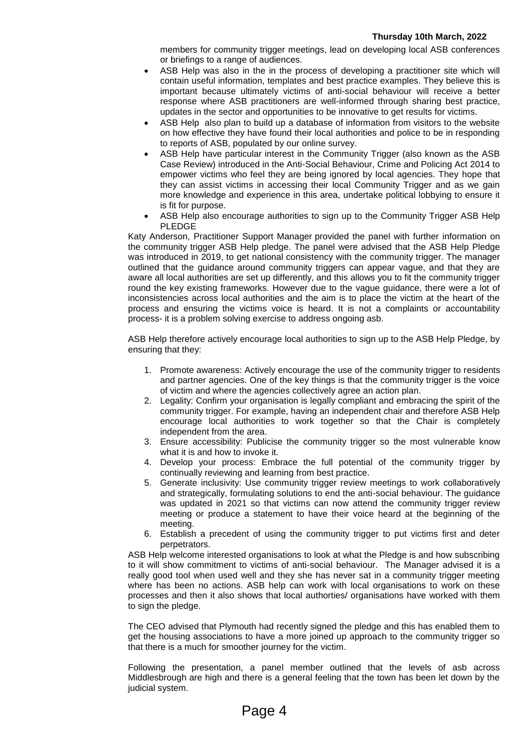members for community trigger meetings, lead on developing local ASB conferences or briefings to a range of audiences.

- ASB Help was also in the in the process of developing a practitioner site which will contain useful information, templates and best practice examples. They believe this is important because ultimately victims of anti-social behaviour will receive a better response where ASB practitioners are well-informed through sharing best practice, updates in the sector and opportunities to be innovative to get results for victims.
- ASB Help also plan to build up a database of information from visitors to the website on how effective they have found their local authorities and police to be in responding to reports of ASB, populated by our online survey.
- ASB Help have particular interest in the Community Trigger (also known as the ASB Case Review) introduced in the Anti-Social Behaviour, Crime and Policing Act 2014 to empower victims who feel they are being ignored by local agencies. They hope that they can assist victims in accessing their local Community Trigger and as we gain more knowledge and experience in this area, undertake political lobbying to ensure it is fit for purpose.
- ASB Help also encourage authorities to sign up to the Community Trigger ASB Help PLEDGE

Katy Anderson, Practitioner Support Manager provided the panel with further information on the community trigger ASB Help pledge. The panel were advised that the ASB Help Pledge was introduced in 2019, to get national consistency with the community trigger. The manager outlined that the guidance around community triggers can appear vague, and that they are aware all local authorities are set up differently, and this allows you to fit the community trigger round the key existing frameworks. However due to the vague guidance, there were a lot of inconsistencies across local authorities and the aim is to place the victim at the heart of the process and ensuring the victims voice is heard. It is not a complaints or accountability process- it is a problem solving exercise to address ongoing asb.

ASB Help therefore actively encourage local authorities to sign up to the ASB Help Pledge, by ensuring that they:

- 1. Promote awareness: Actively encourage the use of the community trigger to residents and partner agencies. One of the key things is that the community trigger is the voice of victim and where the agencies collectively agree an action plan.
- 2. Legality: Confirm your organisation is legally compliant and embracing the spirit of the community trigger. For example, having an independent chair and therefore ASB Help encourage local authorities to work together so that the Chair is completely independent from the area.
- 3. Ensure accessibility: Publicise the community trigger so the most vulnerable know what it is and how to invoke it.
- 4. Develop your process: Embrace the full potential of the community trigger by continually reviewing and learning from best practice.
- 5. Generate inclusivity: Use community trigger review meetings to work collaboratively and strategically, formulating solutions to end the anti-social behaviour. The guidance was updated in 2021 so that victims can now attend the community trigger review meeting or produce a statement to have their voice heard at the beginning of the meeting.
- 6. Establish a precedent of using the community trigger to put victims first and deter perpetrators.

ASB Help welcome interested organisations to look at what the Pledge is and how subscribing to it will show commitment to victims of anti-social behaviour. The Manager advised it is a really good tool when used well and they she has never sat in a community trigger meeting where has been no actions. ASB help can work with local organisations to work on these processes and then it also shows that local authorties/ organisations have worked with them to sign the pledge.

The CEO advised that Plymouth had recently signed the pledge and this has enabled them to get the housing associations to have a more joined up approach to the community trigger so that there is a much for smoother journey for the victim.

Following the presentation, a panel member outlined that the levels of asb across Middlesbrough are high and there is a general feeling that the town has been let down by the judicial system.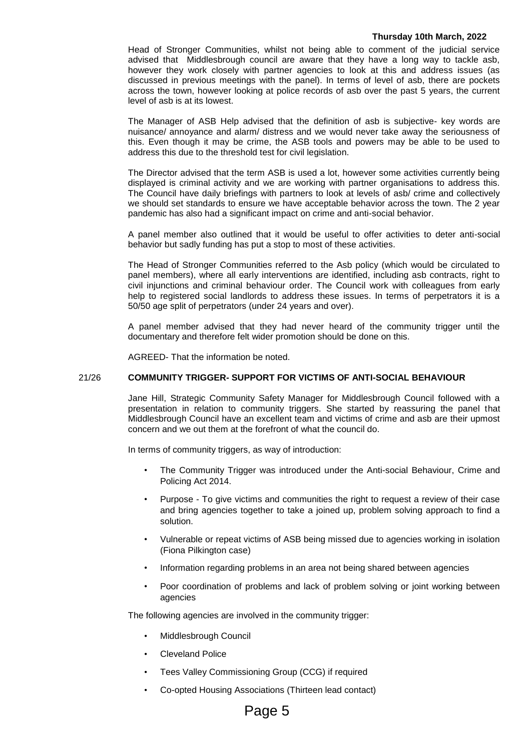#### **Thursday 10th March, 2022**

Head of Stronger Communities, whilst not being able to comment of the judicial service advised that Middlesbrough council are aware that they have a long way to tackle asb, however they work closely with partner agencies to look at this and address issues (as discussed in previous meetings with the panel). In terms of level of asb, there are pockets across the town, however looking at police records of asb over the past 5 years, the current level of asb is at its lowest.

The Manager of ASB Help advised that the definition of asb is subjective- key words are nuisance/ annoyance and alarm/ distress and we would never take away the seriousness of this. Even though it may be crime, the ASB tools and powers may be able to be used to address this due to the threshold test for civil legislation.

The Director advised that the term ASB is used a lot, however some activities currently being displayed is criminal activity and we are working with partner organisations to address this. The Council have daily briefings with partners to look at levels of asb/ crime and collectively we should set standards to ensure we have acceptable behavior across the town. The 2 year pandemic has also had a significant impact on crime and anti-social behavior.

A panel member also outlined that it would be useful to offer activities to deter anti-social behavior but sadly funding has put a stop to most of these activities.

The Head of Stronger Communities referred to the Asb policy (which would be circulated to panel members), where all early interventions are identified, including asb contracts, right to civil injunctions and criminal behaviour order. The Council work with colleagues from early help to registered social landlords to address these issues. In terms of perpetrators it is a 50/50 age split of perpetrators (under 24 years and over).

A panel member advised that they had never heard of the community trigger until the documentary and therefore felt wider promotion should be done on this.

AGREED- That the information be noted.

#### 21/26 **COMMUNITY TRIGGER- SUPPORT FOR VICTIMS OF ANTI-SOCIAL BEHAVIOUR**

Jane Hill, Strategic Community Safety Manager for Middlesbrough Council followed with a presentation in relation to community triggers. She started by reassuring the panel that Middlesbrough Council have an excellent team and victims of crime and asb are their upmost concern and we out them at the forefront of what the council do.

In terms of community triggers, as way of introduction:

- The Community Trigger was introduced under the Anti-social Behaviour, Crime and Policing Act 2014.
- Purpose To give victims and communities the right to request a review of their case and bring agencies together to take a joined up, problem solving approach to find a solution.
- Vulnerable or repeat victims of ASB being missed due to agencies working in isolation (Fiona Pilkington case)
- Information regarding problems in an area not being shared between agencies
- Poor coordination of problems and lack of problem solving or joint working between agencies

The following agencies are involved in the community trigger:

- Middlesbrough Council
- Cleveland Police
- Tees Valley Commissioning Group (CCG) if required
- Co-opted Housing Associations (Thirteen lead contact)

# Page 5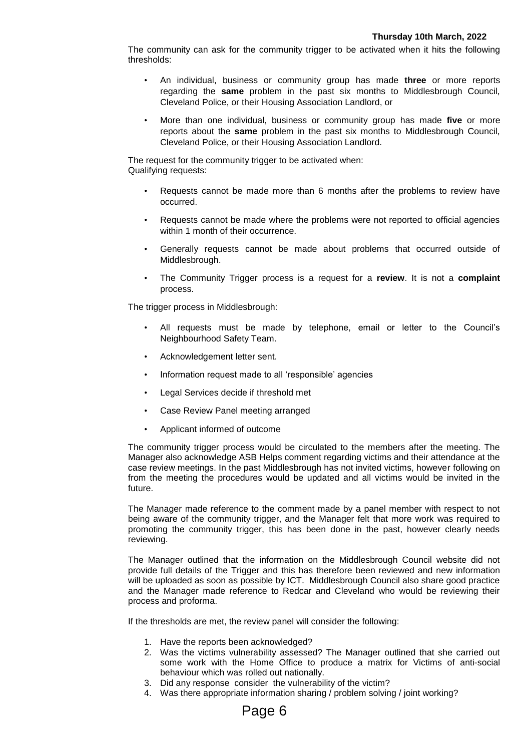The community can ask for the community trigger to be activated when it hits the following thresholds:

- An individual, business or community group has made **three** or more reports regarding the **same** problem in the past six months to Middlesbrough Council, Cleveland Police, or their Housing Association Landlord, or
- More than one individual, business or community group has made **five** or more reports about the **same** problem in the past six months to Middlesbrough Council, Cleveland Police, or their Housing Association Landlord.

The request for the community trigger to be activated when: Qualifying requests:

- Requests cannot be made more than 6 months after the problems to review have occurred.
- Requests cannot be made where the problems were not reported to official agencies within 1 month of their occurrence.
- Generally requests cannot be made about problems that occurred outside of Middlesbrough.
- The Community Trigger process is a request for a **review**. It is not a **complaint** process.

The trigger process in Middlesbrough:

- All requests must be made by telephone, email or letter to the Council's Neighbourhood Safety Team.
- Acknowledgement letter sent.
- Information request made to all 'responsible' agencies
- Legal Services decide if threshold met
- Case Review Panel meeting arranged
- Applicant informed of outcome

The community trigger process would be circulated to the members after the meeting. The Manager also acknowledge ASB Helps comment regarding victims and their attendance at the case review meetings. In the past Middlesbrough has not invited victims, however following on from the meeting the procedures would be updated and all victims would be invited in the future.

The Manager made reference to the comment made by a panel member with respect to not being aware of the community trigger, and the Manager felt that more work was required to promoting the community trigger, this has been done in the past, however clearly needs reviewing.

The Manager outlined that the information on the Middlesbrough Council website did not provide full details of the Trigger and this has therefore been reviewed and new information will be uploaded as soon as possible by ICT. Middlesbrough Council also share good practice and the Manager made reference to Redcar and Cleveland who would be reviewing their process and proforma.

If the thresholds are met, the review panel will consider the following:

- 1. Have the reports been acknowledged?
- 2. Was the victims vulnerability assessed? The Manager outlined that she carried out some work with the Home Office to produce a matrix for Victims of anti-social behaviour which was rolled out nationally.
- 3. Did any response consider the vulnerability of the victim?
- 4. Was there appropriate information sharing / problem solving / joint working?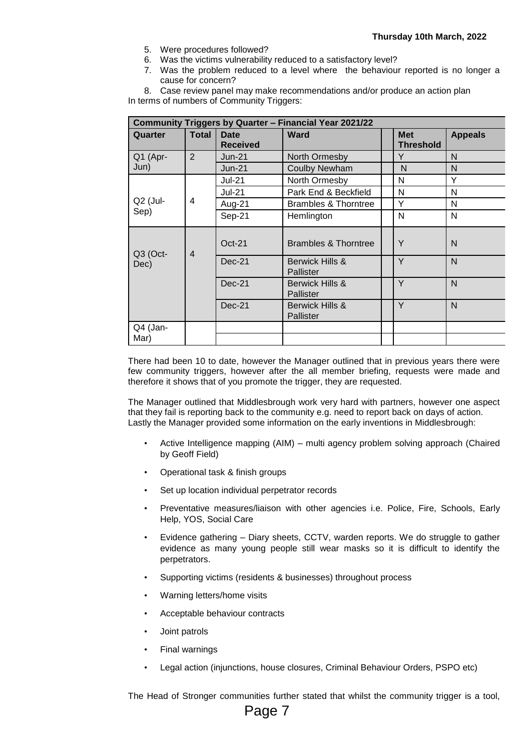- 5. Were procedures followed?
- 6. Was the victims vulnerability reduced to a satisfactory level?
- 7. Was the problem reduced to a level where the behaviour reported is no longer a cause for concern?

8. Case review panel may make recommendations and/or produce an action plan In terms of numbers of Community Triggers:

| Community Triggers by Quarter - Financial Year 2021/22 |                |                         |                                 |  |                                |                |  |  |  |
|--------------------------------------------------------|----------------|-------------------------|---------------------------------|--|--------------------------------|----------------|--|--|--|
| Quarter                                                | <b>Total</b>   | Date<br><b>Received</b> | <b>Ward</b>                     |  | <b>Met</b><br><b>Threshold</b> | <b>Appeals</b> |  |  |  |
| Q1 (Apr-<br>Jun)                                       | 2              | $Jun-21$                | North Ormesby                   |  | Y                              | $\mathsf{N}$   |  |  |  |
|                                                        |                | $Jun-21$                | <b>Coulby Newham</b>            |  | N                              | N              |  |  |  |
| $Q2$ (Jul-<br>Sep)                                     | 4              | <b>Jul-21</b>           | North Ormesby                   |  | N                              | Y              |  |  |  |
|                                                        |                | <b>Jul-21</b>           | Park End & Beckfield            |  | N                              | N              |  |  |  |
|                                                        |                | Aug-21                  | <b>Brambles &amp; Thorntree</b> |  | Υ                              | N              |  |  |  |
|                                                        |                | Sep-21                  | Hemlington                      |  | N                              | N              |  |  |  |
| Q3 (Oct-<br>Dec)                                       | $\overline{4}$ | $Oct-21$                | Brambles & Thorntree            |  | Y                              | N              |  |  |  |
|                                                        |                | Dec-21                  | Berwick Hills &<br>Pallister    |  | Y                              | $\mathsf{N}$   |  |  |  |
|                                                        |                | $Dec-21$                | Berwick Hills &<br>Pallister    |  | Y                              | $\mathsf{N}$   |  |  |  |
|                                                        |                | $Dec-21$                | Berwick Hills &<br>Pallister    |  | Y                              | $\mathsf{N}$   |  |  |  |
| Q4 (Jan-                                               |                |                         |                                 |  |                                |                |  |  |  |
| Mar)                                                   |                |                         |                                 |  |                                |                |  |  |  |

There had been 10 to date, however the Manager outlined that in previous years there were few community triggers, however after the all member briefing, requests were made and therefore it shows that of you promote the trigger, they are requested.

The Manager outlined that Middlesbrough work very hard with partners, however one aspect that they fail is reporting back to the community e.g. need to report back on days of action. Lastly the Manager provided some information on the early inventions in Middlesbrough:

- Active Intelligence mapping (AIM) multi agency problem solving approach (Chaired by Geoff Field)
- Operational task & finish groups
- Set up location individual perpetrator records
- Preventative measures/liaison with other agencies i.e. Police, Fire, Schools, Early Help, YOS, Social Care
- Evidence gathering Diary sheets, CCTV, warden reports. We do struggle to gather evidence as many young people still wear masks so it is difficult to identify the perpetrators.
- Supporting victims (residents & businesses) throughout process
- Warning letters/home visits
- Acceptable behaviour contracts
- Joint patrols
- Final warnings
- Legal action (injunctions, house closures, Criminal Behaviour Orders, PSPO etc)

The Head of Stronger communities further stated that whilst the community trigger is a tool,